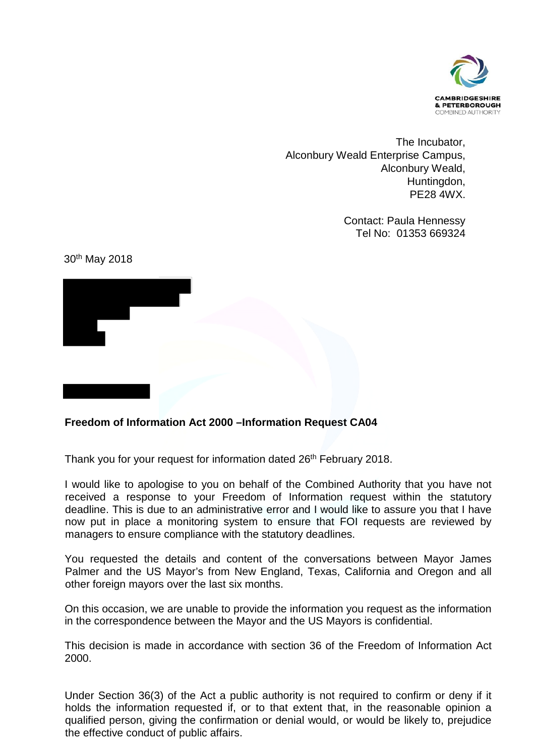

The Incubator, Alconbury Weald Enterprise Campus, Alconbury Weald, Huntingdon, PE28 4WX.

> Contact: Paula Hennessy Tel No: 01353 669324

30th May 2018



## **Freedom of Information Act 2000 –Information Request CA04**

Thank you for your request for information dated 26<sup>th</sup> February 2018.

I would like to apologise to you on behalf of the Combined Authority that you have not received a response to your Freedom of Information request within the statutory deadline. This is due to an administrative error and I would like to assure you that I have now put in place a monitoring system to ensure that FOI requests are reviewed by managers to ensure compliance with the statutory deadlines.

You requested the details and content of the conversations between Mayor James Palmer and the US Mayor's from New England, Texas, California and Oregon and all other foreign mayors over the last six months.

On this occasion, we are unable to provide the information you request as the information in the correspondence between the Mayor and the US Mayors is confidential.

This decision is made in accordance with section 36 of the Freedom of Information Act 2000.

Under Section 36(3) of the Act a public authority is not required to confirm or deny if it holds the information requested if, or to that extent that, in the reasonable opinion a qualified person, giving the confirmation or denial would, or would be likely to, prejudice the effective conduct of public affairs.